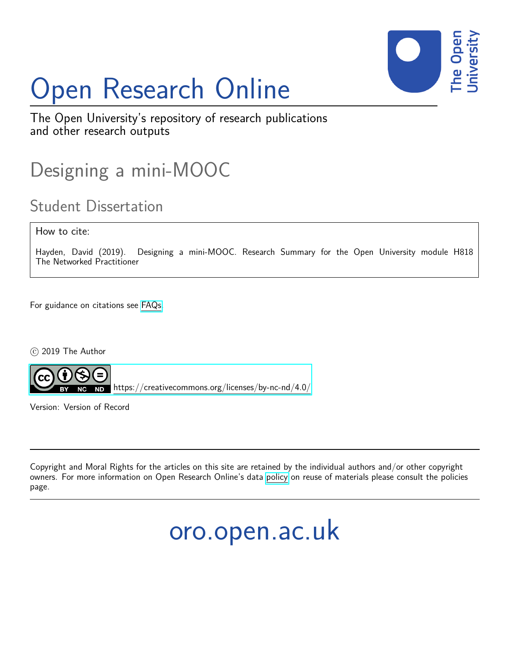

# Open Research Online

The Open University's repository of research publications and other research outputs

## Designing a mini-MOOC

## Student Dissertation

How to cite:

Hayden, David (2019). Designing a mini-MOOC. Research Summary for the Open University module H818 The Networked Practitioner

For guidance on citations see [FAQs.](http://oro.open.ac.uk/help/helpfaq.html)

 $(c)$  2019 The Author



<https://creativecommons.org/licenses/by-nc-nd/4.0/>

Version: Version of Record

Copyright and Moral Rights for the articles on this site are retained by the individual authors and/or other copyright owners. For more information on Open Research Online's data [policy](http://oro.open.ac.uk/policies.html) on reuse of materials please consult the policies page.

## oro.open.ac.uk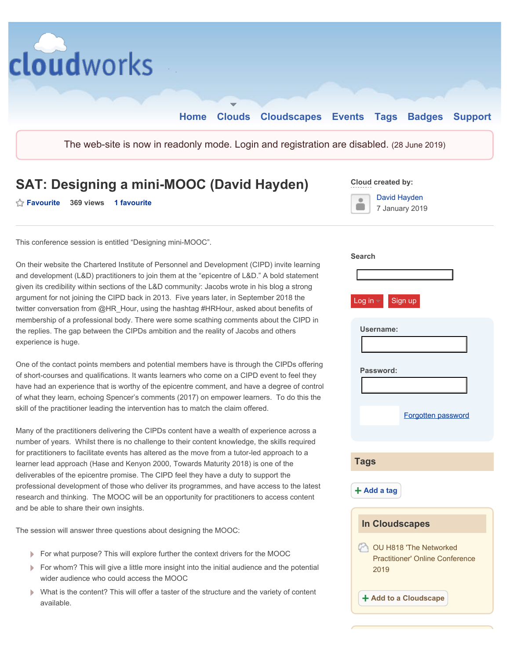

### **SAT: Designing a mini-MOOC (David Hayden)** Cloud created by:

↑ Favourite 369 views 1 favourite **Favourite in the Second Account of the Second Account of Tanguary 2014** 



7 January 2019

This conference session is entitled "Designing mini-MOOC".

 argument for not joining the CIPD back in 2013. Five years later, in September 2018 the On their website the Chartered Institute of Personnel and Development (CIPD) invite learning and development (L&D) practitioners to join them at the "epicentre of L&D." A bold statement given its credibility within sections of the L&D community: Jacobs wrote in his blog a strong twitter conversation from @HR\_Hour, using the hashtag #HRHour, asked about benefits of membership of a professional body. There were some scathing comments about the CIPD in the replies. The gap between the CIPDs ambition and the reality of Jacobs and others experience is huge.

<span id="page-1-0"></span> of what they learn, echoing Spencer's comments (2017) on empower learners. To do this the One of the contact points members and potential members have is through the CIPDs offering of short-courses and qualifications. It wants learners who come on a CIPD event to feel they have had an experience that is worthy of the epicentre comment, and have a degree of control skill of the practitioner leading the intervention has to match the claim offered.

 number of years. Whilst there is no challenge to their content knowledge, the skills required research and thinking. The MOOC will be an opportunity for practitioners to access content Many of the practitioners delivering the CIPDs content have a wealth of experience across a for practitioners to facilitate events has altered as the move from a tutor-led approach to a learner lead approach (Hase and Kenyon 2000, Towards Maturity 2018) is one of the deliverables of the epicentre promise. The CIPD feel they have a duty to support the professional development of those who deliver its programmes, and have access to the latest and be able to share their own insights.

The session will answer three questions about designing the MOOC:

- For what purpose? This will explore further the context drivers for the MOOC
- For whom? This will give a little more insight into the initial audience and the potential wider audience who could access the MOOC
- What is the content? This will offer a taster of the structure and the variety of content available.

| Search                                                                   |
|--------------------------------------------------------------------------|
|                                                                          |
| Log in v Sign up                                                         |
| Username:                                                                |
|                                                                          |
|                                                                          |
| Password:                                                                |
|                                                                          |
|                                                                          |
| Forgotten password                                                       |
|                                                                          |
|                                                                          |
| <b>Tags</b>                                                              |
|                                                                          |
| $+$ Add a tag                                                            |
|                                                                          |
| <b>In Cloudscapes</b>                                                    |
| OU H818 'The Networked<br><b>Practitioner' Online Conference</b><br>2019 |
| + Add to a Cloudscape                                                    |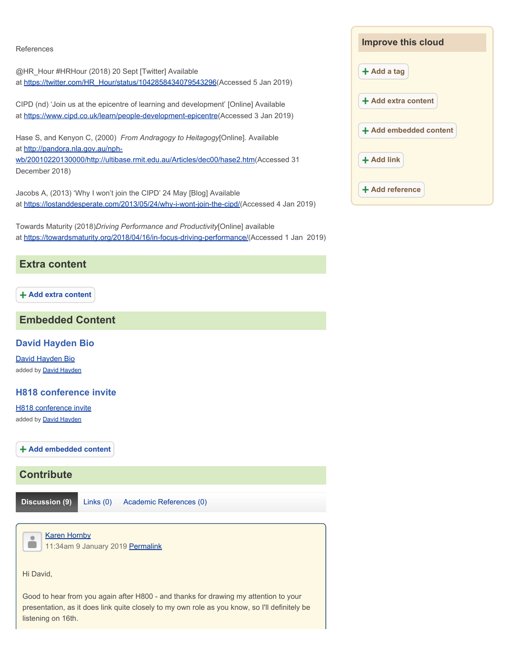#### References

@HR\_Hour #HRHour (2018) 20 Sept [Twitter] Available at [https://twitter.com/HR\\_Hour/status/1042858434079543296\(Accessed](https://twitter.com/HR_Hour/status/1042858434079543296(Accessed) 5 Jan 2019)

CIPD (nd) 'Join us at the epicentre of learning and development' [Online] Available at [https://www.cipd.co.uk/learn/people-development-epicentre\(Accessed](https://www.cipd.co.uk/learn/people-development-epicentre(Accessed) 3 Jan 2019)

 Hase S, and Kenyon C, (2000) *From Andragogy to Heitagogy*[Online]. Available at <http://pandora.nla.gov.au/nph>-

wb/20010220130000/http://ultibase.rmit.edu.au/Articles/dec00/hase2.htm(Accessed 31 December 2018)

Jacobs A, (2013) 'Why I won't join the CIPD' 24 May [Blog] Available at [https://lostanddesperate.com/2013/05/24/why-i-wont-join-the-cipd/\(Accessed](https://lostanddesperate.com/2013/05/24/why-i-wont-join-the-cipd/(Accessed) 4 Jan 2019)

at <u>https://towardsmaturity.org/2018/04/16/in-focus-driving-performance/</u>(Accessed 1 Jan 2019) Towards Maturity (2018)*Driving Performance and Productivity*[Online] available

#### **Extra content**

**Add extra content** 

#### **Embedded Content**

#### **David Hayden Bio**

David Hayden Bio added by **David Hayden** 

#### **H818 conference invite**

H818 conference invite added by **David Hayden** 

**Add embedded content** 

#### **Contribute**

**Discussion (9)** Links (0) Academic References (0)



Hi David,

Good to hear from you again after H800 - and thanks for drawing my attention to your presentation, as it does link quite closely to my own role as you know, so I'll definitely be listening on 16th.

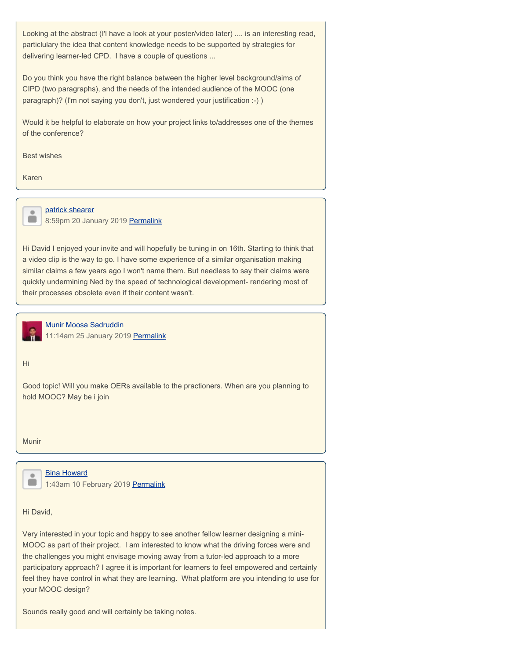<span id="page-3-0"></span>Looking at the abstract (I'l have a look at your poster/video later) .... is an interesting read, particlulary the idea that content knowledge needs to be supported by strategies for delivering learner-led CPD. I have a couple of questions ...

Do you think you have the right balance between the higher level background/aims of CIPD (two paragraphs), and the needs of the intended audience of the MOOC (one paragraph)? (I'm not saying you don't, just wondered your justification :-) )

Would it be helpful to elaborate on how your project links to/addresses one of the themes of the conference?

Best wishes

Karen

<span id="page-3-1"></span> $\ddot{\phantom{a}}$  $\blacksquare$ 

#### patrick shearer

8:59pm 20 January 2019 [Permalink](#page-3-1)

Hi David I enjoyed your invite and will hopefully be tuning in on 16th. Starting to think that a video clip is the way to go. I have some experience of a similar organisation making similar claims a few years ago I won't name them. But needless to say their claims were quickly undermining Ned by the speed of technological development- rendering most of their processes obsolete even if their content wasn't.

<span id="page-3-2"></span>Munir Moosa Sadruddin 11:14am 25 January 2019 [Permalink](#page-3-2)

Hi

Good topic! Will you make OERs available to the practioners. When are you planning to hold MOOC? May be i join

Munir

Bina Howard 1:43am 10 February 2019 [Permalink](#page-4-0)

Hi David,

Very interested in your topic and happy to see another fellow learner designing a mini-MOOC as part of their project. I am interested to know what the driving forces were and the challenges you might envisage moving away from a tutor-led approach to a more participatory approach? I agree it is important for learners to feel empowered and certainly feel they have control in what they are learning. What platform are you intending to use for your MOOC design?

Sounds really good and will certainly be taking notes.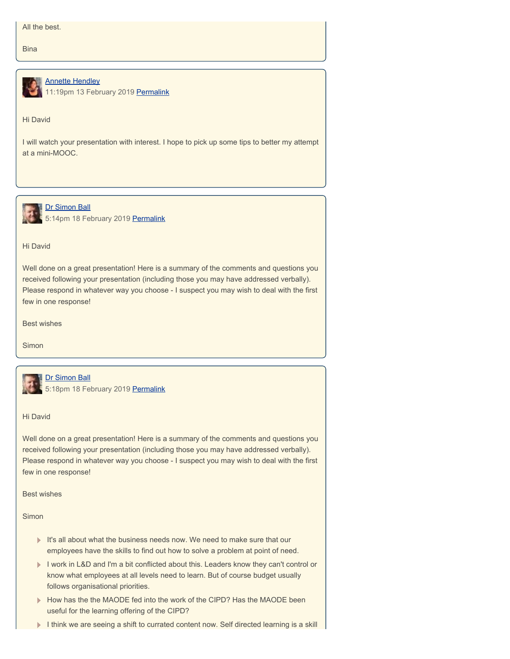<span id="page-4-0"></span>**Bina** 

<span id="page-4-1"></span>

Annette Hendley 11:19pm 13 February 2019 [Permalink](#page-4-1)

#### Hi David

I will watch your presentation with interest. I hope to pick up some tips to better my attempt at a mini-MOOC.

<span id="page-4-2"></span>

**Dr Simon Ball** 5:14pm 18 February 2019 [Permalink](#page-4-2)

#### Hi David

Well done on a great presentation! Here is a summary of the comments and questions you received following your presentation (including those you may have addressed verbally). Please respond in whatever way you choose - I suspect you may wish to deal with the first few in one response!

Best wishes

Simon



#### Dr Simon Ball

5:18pm 18 February 2019 [Permalink](#page-5-0)

#### Hi David

Well done on a great presentation! Here is a summary of the comments and questions you received following your presentation (including those you may have addressed verbally). Please respond in whatever way you choose - I suspect you may wish to deal with the first few in one response!

Best wishes

Simon

- It's all about what the business needs now. We need to make sure that our employees have the skills to find out how to solve a problem at point of need.
- I work in L&D and I'm a bit conflicted about this. Leaders know they can't control or know what employees at all levels need to learn. But of course budget usually follows organisational priorities.
- How has the the MAODE fed into the work of the CIPD? Has the MAODE been useful for the learning offering of the CIPD?
- I think we are seeing a shift to currated content now. Self directed learning is a skill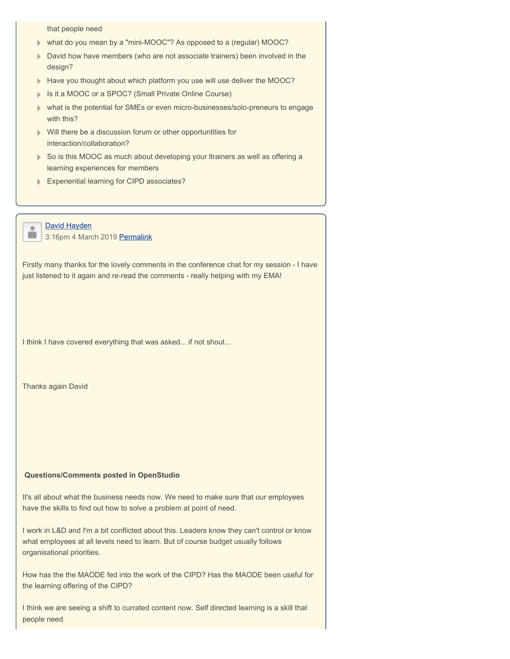<span id="page-5-0"></span>that people need

- what do you mean by a "mini-MOOC"? As opposed to a (regular) MOOC?
- David how have members (who are not associate trainers) been involved in the design?
- Have you thought about which platform you use will use deliver the MOOC?
- **Is it a MOOC or a SPOC? (Small Private Online Course)**
- what is the potential for SMEs or even micro-businesses/solo-preneurs to engage with this?
- **Will there be a discussion forum or other opportuntities for** interaction/collaboration?
- So is this MOOC as much about developing your Itrainers as well as offering a learning experiences for members
- **Experiential learning for CIPD associates?**
- $\bullet$  $\blacksquare$

David Hayden 3:16pm 4 March 2019 [Permalink](#page-7-0)

Firstly many thanks for the lovely comments in the conference chat for my session - I have just listened to it again and re-read the comments - really helping with my EMA!

I think I have covered everything that was asked... if not shout...

Thanks again David

#### **Questions/Comments posted in OpenStudio**

It's all about what the business needs now. We need to make sure that our employees have the skills to find out how to solve a problem at point of need.

I work in L&D and I'm a bit conflicted about this. Leaders know they can't control or know what employees at all levels need to learn. But of course budget usually follows organisational priorities.

How has the the MAODE fed into the work of the CIPD? Has the MAODE been useful for the learning offering of the CIPD?

I think we are seeing a shift to currated content now. Self directed learning is a skill that people need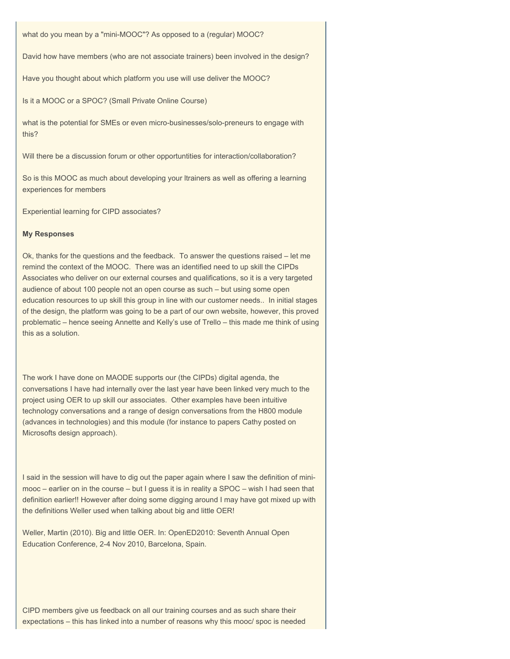what do you mean by a "mini-MOOC"? As opposed to a (regular) MOOC?

David how have members (who are not associate trainers) been involved in the design?

Have you thought about which platform you use will use deliver the MOOC?

Is it a MOOC or a SPOC? (Small Private Online Course)

what is the potential for SMEs or even micro-businesses/solo-preneurs to engage with this?

Will there be a discussion forum or other opportuntities for interaction/collaboration?

So is this MOOC as much about developing your ltrainers as well as offering a learning experiences for members

Experiential learning for CIPD associates?

#### **My Responses**

 Ok, thanks for the questions and the feedback. To answer the questions raised – let me remind the context of the MOOC. There was an identified need to up skill the CIPDs education resources to up skill this group in line with our customer needs.. In initial stages Associates who deliver on our external courses and qualifications, so it is a very targeted audience of about 100 people not an open course as such – but using some open of the design, the platform was going to be a part of our own website, however, this proved problematic – hence seeing Annette and Kelly's use of Trello – this made me think of using this as a solution.

 project using OER to up skill our associates. Other examples have been intuitive The work I have done on MAODE supports our (the CIPDs) digital agenda, the conversations I have had internally over the last year have been linked very much to the technology conversations and a range of design conversations from the H800 module (advances in technologies) and this module (for instance to papers Cathy posted on Microsofts design approach).

I said in the session will have to dig out the paper again where I saw the definition of minimooc – earlier on in the course – but I guess it is in reality a SPOC – wish I had seen that definition earlier!! However after doing some digging around I may have got mixed up with the definitions Weller used when talking about big and little OER!

Weller, Martin (2010). Big and little OER. In: OpenED2010: Seventh Annual Open Education Conference, 2-4 Nov 2010, Barcelona, Spain.

CIPD members give us feedback on all our training courses and as such share their expectations – this has linked into a number of reasons why this mooc/ spoc is needed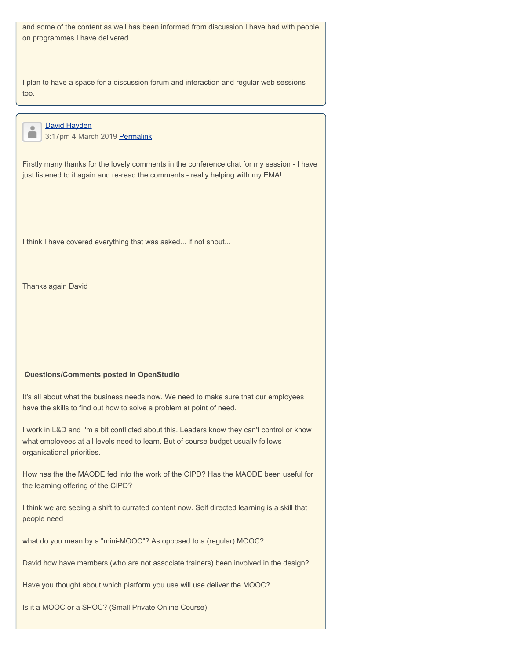<span id="page-7-0"></span>and some of the content as well has been informed from discussion I have had with people on programmes I have delivered.

I plan to have a space for a discussion forum and interaction and regular web sessions too.

David Hayden  $\blacksquare$ 3:17pm 4 March 2019 [Permalink](#page-8-0)

 $\ddot{\phantom{a}}$ 

Firstly many thanks for the lovely comments in the conference chat for my session - I have just listened to it again and re-read the comments - really helping with my EMA!

I think I have covered everything that was asked... if not shout...

Thanks again David

#### **Questions/Comments posted in OpenStudio**

It's all about what the business needs now. We need to make sure that our employees have the skills to find out how to solve a problem at point of need.

I work in L&D and I'm a bit conflicted about this. Leaders know they can't control or know what employees at all levels need to learn. But of course budget usually follows organisational priorities.

How has the the MAODE fed into the work of the CIPD? Has the MAODE been useful for the learning offering of the CIPD?

I think we are seeing a shift to currated content now. Self directed learning is a skill that people need

what do you mean by a "mini-MOOC"? As opposed to a (regular) MOOC?

David how have members (who are not associate trainers) been involved in the design?

Have you thought about which platform you use will use deliver the MOOC?

Is it a MOOC or a SPOC? (Small Private Online Course)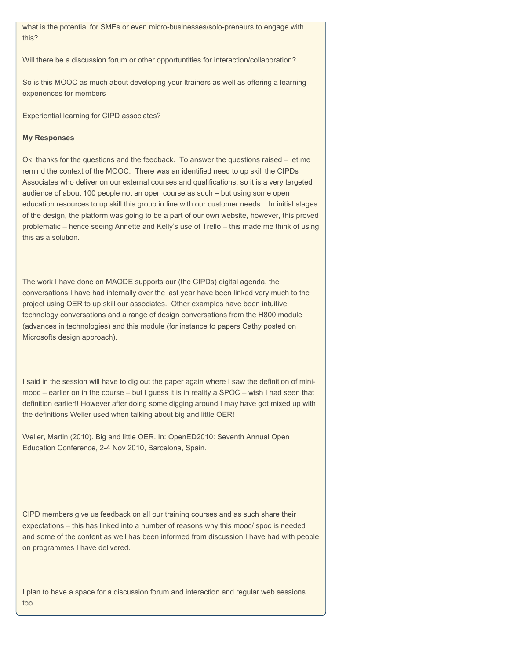<span id="page-8-0"></span>what is the potential for SMEs or even micro-businesses/solo-preneurs to engage with this?

Will there be a discussion forum or other opportuntities for interaction/collaboration?

So is this MOOC as much about developing your ltrainers as well as offering a learning experiences for members

Experiential learning for CIPD associates?

#### **My Responses**

 Ok, thanks for the questions and the feedback. To answer the questions raised – let me remind the context of the MOOC. There was an identified need to up skill the CIPDs education resources to up skill this group in line with our customer needs.. In initial stages Associates who deliver on our external courses and qualifications, so it is a very targeted audience of about 100 people not an open course as such – but using some open of the design, the platform was going to be a part of our own website, however, this proved problematic – hence seeing Annette and Kelly's use of Trello – this made me think of using this as a solution.

 project using OER to up skill our associates. Other examples have been intuitive The work I have done on MAODE supports our (the CIPDs) digital agenda, the conversations I have had internally over the last year have been linked very much to the technology conversations and a range of design conversations from the H800 module (advances in technologies) and this module (for instance to papers Cathy posted on Microsofts design approach).

I said in the session will have to dig out the paper again where I saw the definition of minimooc – earlier on in the course – but I guess it is in reality a SPOC – wish I had seen that definition earlier!! However after doing some digging around I may have got mixed up with the definitions Weller used when talking about big and little OER!

Weller, Martin (2010). Big and little OER. In: OpenED2010: Seventh Annual Open Education Conference, 2-4 Nov 2010, Barcelona, Spain.

CIPD members give us feedback on all our training courses and as such share their expectations – this has linked into a number of reasons why this mooc/ spoc is needed and some of the content as well has been informed from discussion I have had with people on programmes I have delivered.

I plan to have a space for a discussion forum and interaction and regular web sessions too.